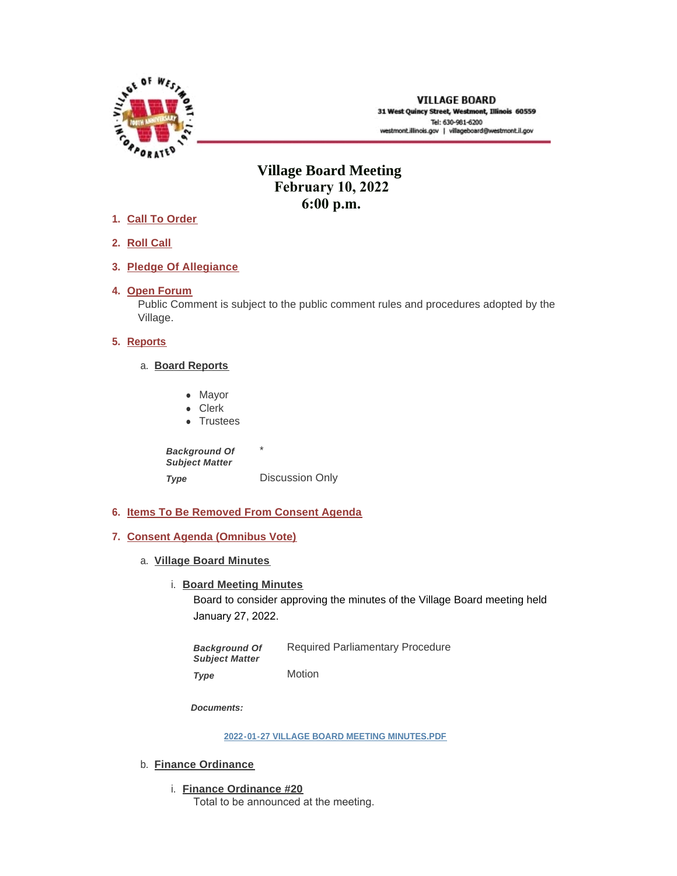

# **Village Board Meeting February 10, 2022 6:00 p.m.**

- **Call To Order 1.**
- **Roll Call 2.**
- **Pledge Of Allegiance 3.**
- 4. Open Forum

Public Comment is subject to the public comment rules and procedures adopted by the Village.

## **5.** Reports

- **Board Reports** a.
	- Mayor
	- Clerk
	- Trustees

\* Discussion Only *Background Of Subject Matter Type* 

- **Items To Be Removed From Consent Agenda 6.**
- **Consent Agenda (Omnibus Vote) 7.**
	- **Village Board Minutes** a.
		- **Board Meeting Minutes**

Board to consider approving the minutes of the Village Board meeting held January 27, 2022.

Required Parliamentary Procedure Motion *Background Of Subject Matter Type* 

*Documents:*

**[2022-01-27 VILLAGE BOARD MEETING MINUTES.PDF](https://westmont.illinois.gov/AgendaCenter/ViewFile/Item/8497?fileID=12144)**

- b. **Finance Ordinance** 
	- **Finance Ordinance #20** i. Total to be announced at the meeting.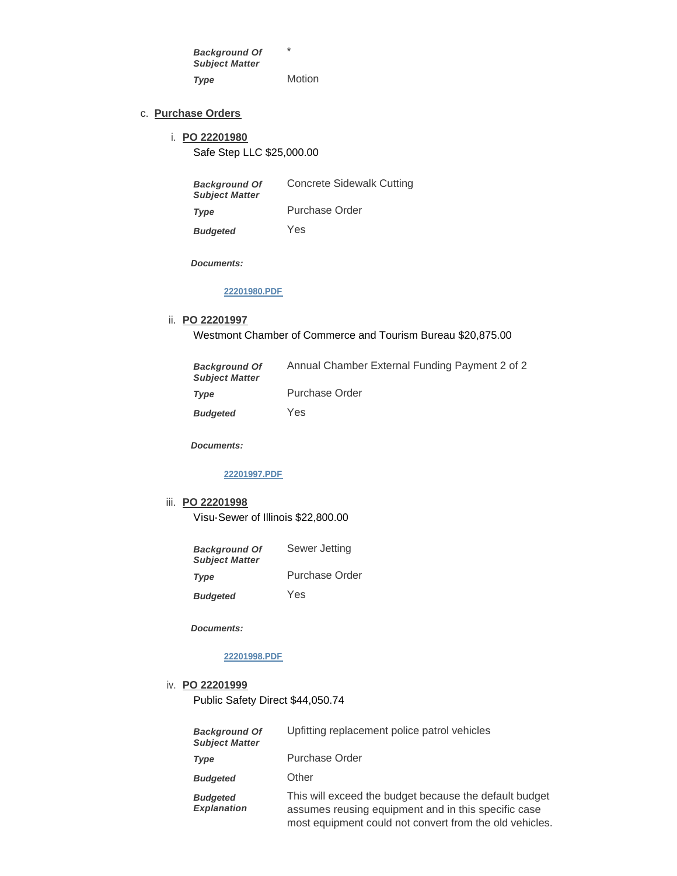\* Motion *Background Of Subject Matter Type* 

#### **Purchase Orders** c.

## **PO 22201980** i. Safe Step LLC \$25,000.00

| <b>Background Of</b><br><b>Subject Matter</b> | <b>Concrete Sidewalk Cutting</b> |
|-----------------------------------------------|----------------------------------|
| Type                                          | Purchase Order                   |
| <b>Budgeted</b>                               | Yes                              |

*Documents:*

#### **[22201980.PDF](https://westmont.illinois.gov/AgendaCenter/ViewFile/Item/8489?fileID=12139)**

#### **PO 22201997** ii.

Westmont Chamber of Commerce and Tourism Bureau \$20,875.00

| <b>Background Of</b><br><b>Subject Matter</b> | Annual Chamber External Funding Payment 2 of 2 |
|-----------------------------------------------|------------------------------------------------|
| Type                                          | <b>Purchase Order</b>                          |
| <b>Budgeted</b>                               | Yes                                            |

*Documents:*

### **[22201997.PDF](https://westmont.illinois.gov/AgendaCenter/ViewFile/Item/8490?fileID=12140)**

#### **PO 22201998** iii.

Visu-Sewer of Illinois \$22,800.00

| <b>Background Of</b><br><b>Subject Matter</b> | Sewer Jetting  |
|-----------------------------------------------|----------------|
| Type                                          | Purchase Order |
| <b>Budgeted</b>                               | Yes            |

*Documents:*

## **[22201998.PDF](https://westmont.illinois.gov/AgendaCenter/ViewFile/Item/8491?fileID=12141)**

#### **PO 22201999** iv.

Public Safety Direct \$44,050.74

| <b>Background Of</b><br><b>Subject Matter</b> | Upfitting replacement police patrol vehicles                                                                                                                             |
|-----------------------------------------------|--------------------------------------------------------------------------------------------------------------------------------------------------------------------------|
| Type                                          | Purchase Order                                                                                                                                                           |
| <b>Budgeted</b>                               | Other                                                                                                                                                                    |
| <b>Budgeted</b><br><b>Explanation</b>         | This will exceed the budget because the default budget<br>assumes reusing equipment and in this specific case<br>most equipment could not convert from the old vehicles. |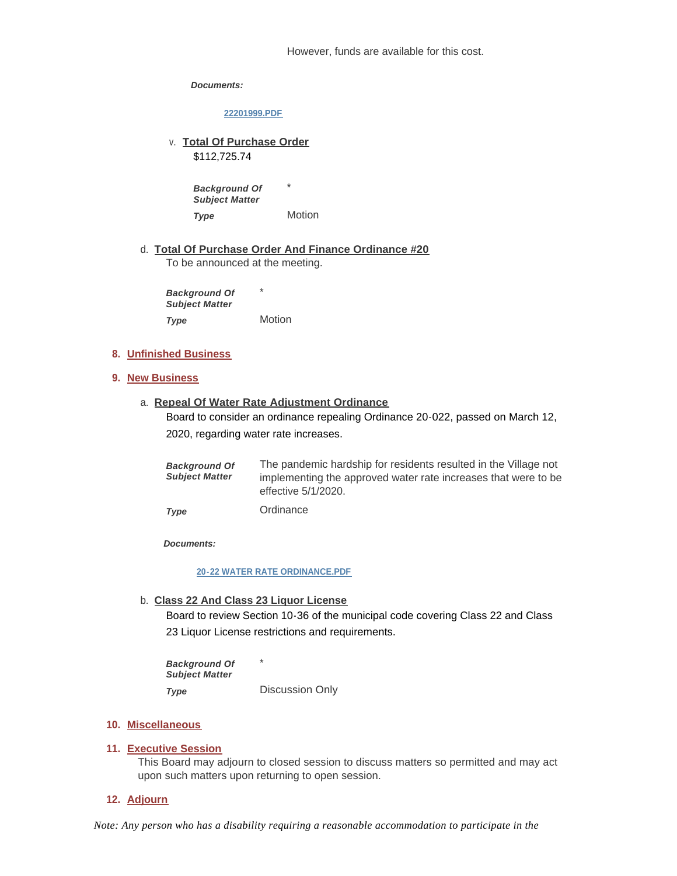However, funds are available for this cost.

*Documents:*

**[22201999.PDF](https://westmont.illinois.gov/AgendaCenter/ViewFile/Item/8492?fileID=12142)**

v. Total Of Purchase Order

\$112,725.74

*Background Of Subject Matter* 

Motion *Type* 

**Total Of Purchase Order And Finance Ordinance #20** d. To be announced at the meeting.

\*

\* Motion *Background Of Subject Matter Type* 

## **Unfinished Business 8.**

## **New Business 9.**

**Repeal Of Water Rate Adjustment Ordinance** a.

Board to consider an ordinance repealing Ordinance 20-022, passed on March 12, 2020, regarding water rate increases.

| <b>Background Of</b><br><b>Subject Matter</b> | The pandemic hardship for residents resulted in the Village not<br>implementing the approved water rate increases that were to be<br>effective 5/1/2020. |
|-----------------------------------------------|----------------------------------------------------------------------------------------------------------------------------------------------------------|
| Type                                          | Ordinance                                                                                                                                                |

*Documents:*

#### **[20-22 WATER RATE ORDINANCE.PDF](https://westmont.illinois.gov/AgendaCenter/ViewFile/Item/8493?fileID=12143)**

**Class 22 And Class 23 Liquor License** b.

Board to review Section 10-36 of the municipal code covering Class 22 and Class 23 Liquor License restrictions and requirements.

\* Discussion Only *Background Of Subject Matter Type* 

#### **Miscellaneous 10.**

## **Executive Session 11.**

This Board may adjourn to closed session to discuss matters so permitted and may act upon such matters upon returning to open session.

## **Adjourn 12.**

*Note: Any person who has a disability requiring a reasonable accommodation to participate in the*